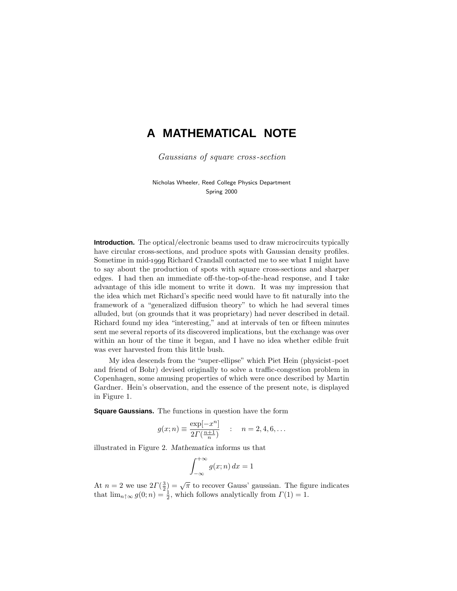## **A MATHEMATICAL NOTE**

Gaussians of square cross-section

Nicholas Wheeler, Reed College Physics Department Spring 2000

**Introduction.** The optical/electronic beams used to draw microcircuits typically have circular cross-sections, and produce spots with Gaussian density profiles. Sometime in mid-1999 Richard Crandall contacted me to see what I might have to say about the production of spots with square cross-sections and sharper edges. I had then an immediate off-the-top-of-the-head response, and I take advantage of this idle moment to write it down. It was my impression that the idea which met Richard's specific need would have to fit naturally into the framework of a "generalized diffusion theory" to which he had several times alluded, but (on grounds that it was proprietary) had never described in detail. Richard found my idea "interesting," and at intervals of ten or fifteen minutes sent me several reports of its discovered implications, but the exchange was over within an hour of the time it began, and I have no idea whether edible fruit was ever harvested from this little bush.

My idea descends from the "super-ellipse" which Piet Hein (physicist-poet and friend of Bohr) devised originally to solve a traffic-congestion problem in Copenhagen, some amusing properties of which were once described by Martin Gardner. Hein's observation, and the essence of the present note, is displayed in Figure 1.

**Square Gaussians.** The functions in question have the form

$$
g(x; n) \equiv \frac{\exp[-x^n]}{2\Gamma(\frac{n+1}{n})} \quad : \quad n = 2, 4, 6, ...
$$

illustrated in Figure 2. *Mathematica* informs us that

$$
\int_{-\infty}^{+\infty} g(x; n) \, dx = 1
$$

At  $n = 2$  we use  $2\Gamma(\frac{3}{2}) = \sqrt{\pi}$  to recover Gauss' gaussian. The figure indicates that  $\lim_{n \uparrow \infty} g(0; n) = \frac{1}{2}$ , which follows analytically from  $\Gamma(1) = 1$ .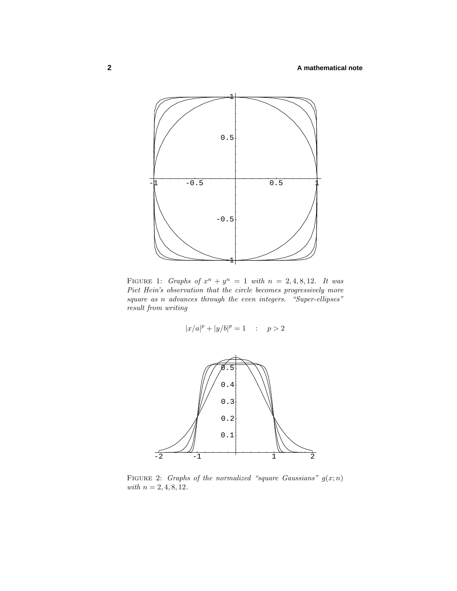

FIGURE 1: Graphs of  $x^n + y^n = 1$  with  $n = 2, 4, 8, 12$ . It was Piet Hein's observation that the circle becomes progressively more square as *n* advances through the even integers. "Super-ellipses" result from writing

$$
|x/a|^p+|y/b|^p=1\quad :\quad p>2
$$



FIGURE 2: Graphs of the normalized "square Gaussians"  $g(x; n)$  $with n = 2, 4, 8, 12.$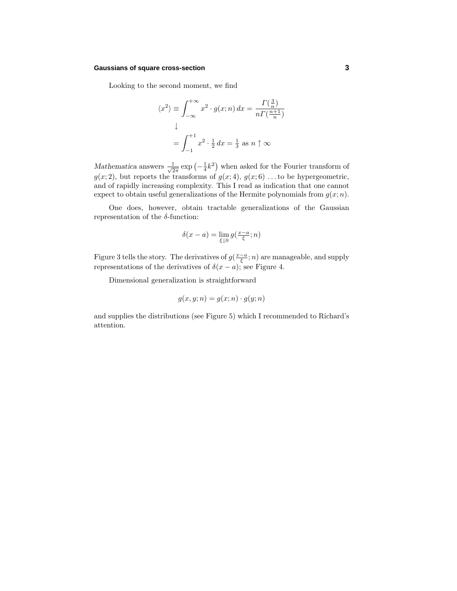## **Gaussians of square cross-section 3**

Looking to the second moment, we find

$$
\langle x^2 \rangle \equiv \int_{-\infty}^{+\infty} x^2 \cdot g(x; n) dx = \frac{\Gamma(\frac{3}{n})}{n \Gamma(\frac{n+1}{n})}
$$

$$
\downarrow
$$

$$
= \int_{-1}^{+1} x^2 \cdot \frac{1}{2} dx = \frac{1}{3} \text{ as } n \uparrow \infty
$$

*Mathematica* answers  $\frac{1}{\sqrt{2\pi}} \exp\left(-\frac{1}{4}k^2\right)$  when asked for the Fourier transform of  $g(x; 2)$ , but reports the transforms of  $g(x; 4)$ ,  $g(x; 6)$ ...to be hypergeometric, and of rapidly increasing complexity. This I read as indication that one cannot expect to obtain useful generalizations of the Hermite polynomials from  $g(x; n)$ .

One does, however, obtain tractable generalizations of the Gaussian representation of the *δ*-function:

$$
\delta(x - a) = \lim_{\xi \downarrow 0} g(\tfrac{x - a}{\xi}; n)
$$

Figure 3 tells the story. The derivatives of  $g(\frac{x-a}{\xi}; n)$  are manageable, and supply representations of the derivatives of  $\delta(x - a)$ ; see Figure 4.

Dimensional generalization is straightforward

$$
g(x, y; n) = g(x; n) \cdot g(y; n)
$$

and supplies the distributions (see Figure 5) which I recommended to Richard's attention.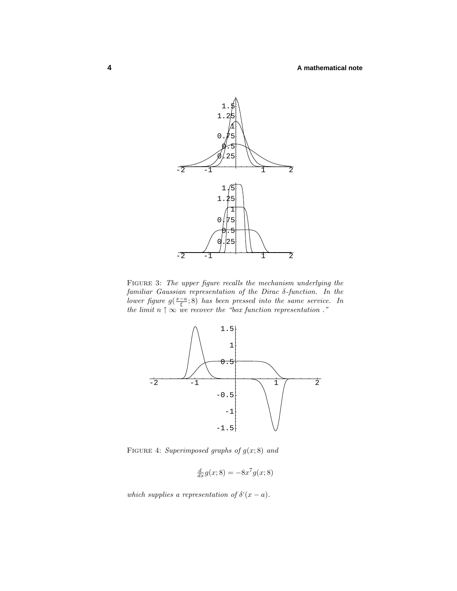

Figure 3: The upper figure recalls the mechanism underlying the familiar Gaussian representation of the Dirac *δ*-function. In the lower figure  $g(\frac{x-a}{\xi}; 8)$  has been pressed into the same service. In the limit  $n \uparrow \infty$  we recover the "box function representation".



FIGURE 4: Superimposed graphs of  $g(x; 8)$  and

$$
\frac{d}{dx}g(x;8) = -8x^7g(x;8)
$$

which supplies a representation of  $\delta'(x-a)$ .